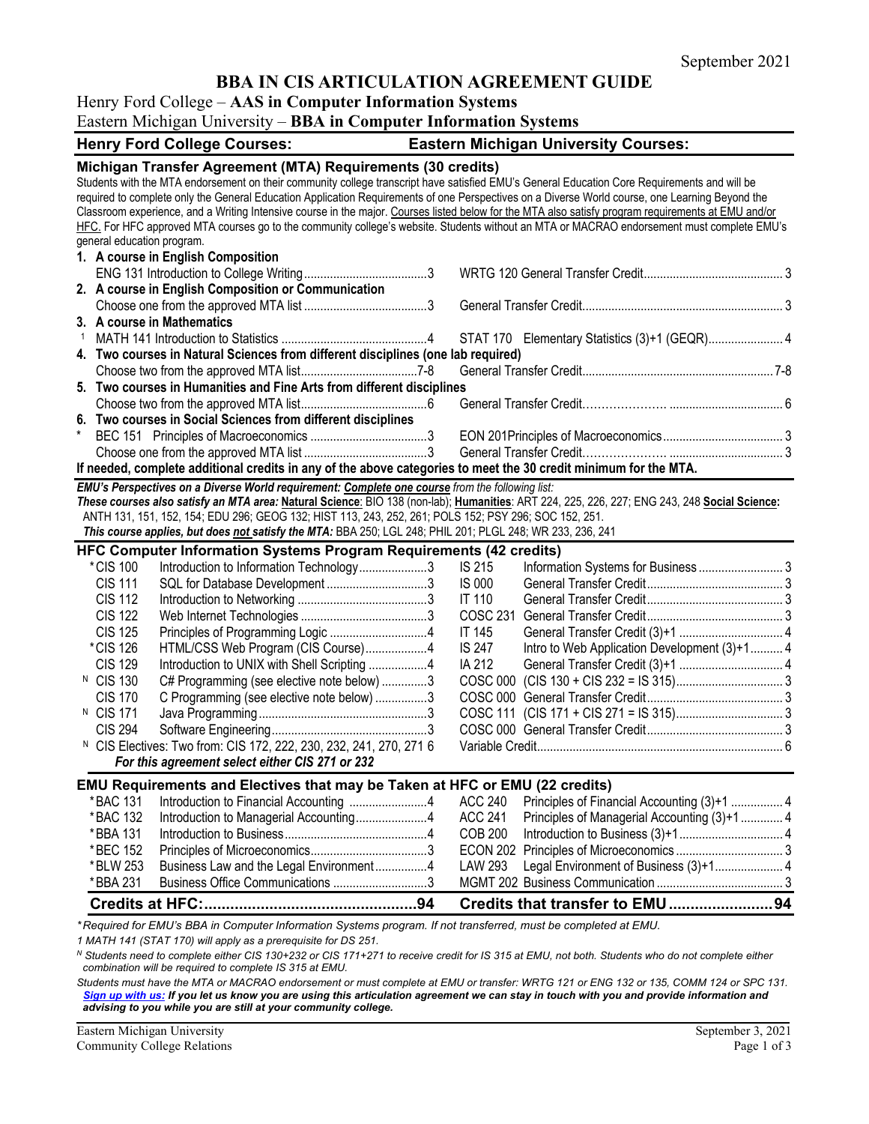## **BBA IN CIS ARTICULATION AGREEMENT GUIDE**

### Henry Ford College – **AAS in Computer Information Systems**

|  |  |  | Eastern Michigan University - BBA in Computer Information Systems |  |
|--|--|--|-------------------------------------------------------------------|--|
|  |  |  |                                                                   |  |

| <b>Henry Ford College Courses:</b>                                                                                                                  | <b>Eastern Michigan University Courses:</b> |                 |                                               |  |
|-----------------------------------------------------------------------------------------------------------------------------------------------------|---------------------------------------------|-----------------|-----------------------------------------------|--|
| Michigan Transfer Agreement (MTA) Requirements (30 credits)                                                                                         |                                             |                 |                                               |  |
| Students with the MTA endorsement on their community college transcript have satisfied EMU's General Education Core Requirements and will be        |                                             |                 |                                               |  |
| required to complete only the General Education Application Requirements of one Perspectives on a Diverse World course, one Learning Beyond the     |                                             |                 |                                               |  |
| Classroom experience, and a Writing Intensive course in the major. Courses listed below for the MTA also satisfy program requirements at EMU and/or |                                             |                 |                                               |  |
| HFC. For HFC approved MTA courses go to the community college's website. Students without an MTA or MACRAO endorsement must complete EMU's          |                                             |                 |                                               |  |
| general education program.                                                                                                                          |                                             |                 |                                               |  |
| 1. A course in English Composition                                                                                                                  |                                             |                 |                                               |  |
|                                                                                                                                                     |                                             |                 |                                               |  |
| 2. A course in English Composition or Communication                                                                                                 |                                             |                 |                                               |  |
|                                                                                                                                                     |                                             |                 |                                               |  |
| 3. A course in Mathematics                                                                                                                          |                                             |                 |                                               |  |
|                                                                                                                                                     |                                             |                 | STAT 170 Elementary Statistics (3)+1 (GEQR) 4 |  |
| 4. Two courses in Natural Sciences from different disciplines (one lab required)                                                                    |                                             |                 |                                               |  |
|                                                                                                                                                     |                                             |                 |                                               |  |
| 5. Two courses in Humanities and Fine Arts from different disciplines                                                                               |                                             |                 |                                               |  |
|                                                                                                                                                     |                                             |                 |                                               |  |
| 6. Two courses in Social Sciences from different disciplines                                                                                        |                                             |                 |                                               |  |
|                                                                                                                                                     |                                             |                 |                                               |  |
|                                                                                                                                                     |                                             |                 |                                               |  |
| If needed, complete additional credits in any of the above categories to meet the 30 credit minimum for the MTA.                                    |                                             |                 |                                               |  |
| EMU's Perspectives on a Diverse World requirement: Complete one course from the following list:                                                     |                                             |                 |                                               |  |
| These courses also satisfy an MTA area: Natural Science: BIO 138 (non-lab); Humanities: ART 224, 225, 226, 227; ENG 243, 248 Social Science:        |                                             |                 |                                               |  |
| ANTH 131, 151, 152, 154; EDU 296; GEOG 132; HIST 113, 243, 252, 261; POLS 152; PSY 296; SOC 152, 251.                                               |                                             |                 |                                               |  |
| This course applies, but does not satisfy the MTA: BBA 250; LGL 248; PHIL 201; PLGL 248; WR 233, 236, 241                                           |                                             |                 |                                               |  |
| HFC Computer Information Systems Program Requirements (42 credits)                                                                                  |                                             |                 |                                               |  |
| *CIS 100<br>Introduction to Information Technology3                                                                                                 |                                             | <b>IS 215</b>   |                                               |  |
| <b>CIS 111</b>                                                                                                                                      |                                             | <b>IS 000</b>   |                                               |  |
| <b>CIS 112</b>                                                                                                                                      |                                             | <b>IT 110</b>   |                                               |  |
| <b>CIS 122</b>                                                                                                                                      |                                             | <b>COSC 231</b> |                                               |  |
| <b>CIS 125</b>                                                                                                                                      |                                             | <b>IT 145</b>   |                                               |  |
| *CIS 126<br>HTML/CSS Web Program (CIS Course)4                                                                                                      |                                             | <b>IS 247</b>   | Intro to Web Application Development (3)+1 4  |  |
| <b>CIS 129</b><br>Introduction to UNIX with Shell Scripting 4                                                                                       |                                             | IA 212          |                                               |  |
| <sup>N</sup> CIS 130<br>C# Programming (see elective note below) 3                                                                                  |                                             |                 |                                               |  |
| <b>CIS 170</b><br>C Programming (see elective note below) 3                                                                                         |                                             |                 |                                               |  |
| <sup>N</sup> CIS 171                                                                                                                                |                                             |                 |                                               |  |
| <b>CIS 294</b>                                                                                                                                      |                                             |                 |                                               |  |
| <sup>N</sup> CIS Electives: Two from: CIS 172, 222, 230, 232, 241, 270, 271 6                                                                       |                                             |                 |                                               |  |
| For this agreement select either CIS 271 or 232                                                                                                     |                                             |                 |                                               |  |
| <b>EMU Requirements and Electives that may be Taken at HFC or EMU (22 credits)</b>                                                                  |                                             |                 |                                               |  |
| *BAC 131<br>Introduction to Financial Accounting 4                                                                                                  |                                             | <b>ACC 240</b>  | Principles of Financial Accounting (3)+1  4   |  |
| *BAC 132<br>Introduction to Managerial Accounting4                                                                                                  |                                             | <b>ACC 241</b>  | Principles of Managerial Accounting (3)+1 4   |  |
| *BBA 131                                                                                                                                            |                                             | <b>COB 200</b>  |                                               |  |
| *BEC 152                                                                                                                                            |                                             | <b>ECON 202</b> |                                               |  |
| Business Law and the Legal Environment4<br>*BLW 253                                                                                                 |                                             | <b>LAW 293</b>  | Legal Environment of Business (3)+1 4         |  |
| Business Office Communications 3<br>*BBA 231                                                                                                        |                                             |                 |                                               |  |
|                                                                                                                                                     |                                             |                 |                                               |  |
|                                                                                                                                                     |                                             |                 |                                               |  |

*\* Required for EMU's BBA in Computer Information Systems program. If not transferred, must be completed at EMU.* 

*1 MATH 141 (STAT 170) will apply as a prerequisite for DS 251.*

*<sup>N</sup> Students need to complete either CIS 130+232 or CIS 171+271 to receive credit for IS 315 at EMU, not both. Students who do not complete either combination will be required to complete IS 315 at EMU.*

*Students must have the MTA or MACRAO endorsement or must complete at EMU or transfer: WRTG 121 or ENG 132 or 135, COMM 124 or SPC 131. [Sign up with us:](https://www.emich.edu/ccr/articulation-agreements/signup.php) If you let us know you are using this articulation agreement we can stay in touch with you and provide information and advising to you while you are still at your community college.*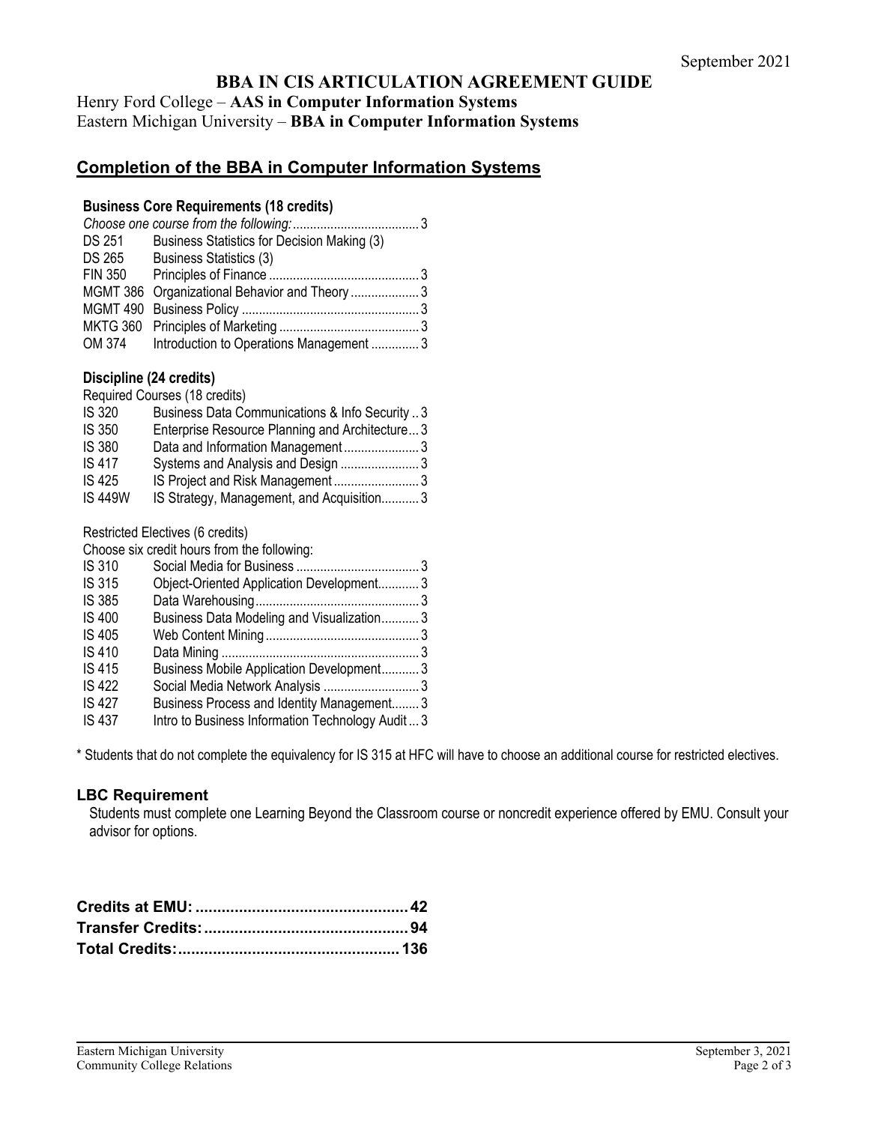## **BBA IN CIS ARTICULATION AGREEMENT GUIDE**

Henry Ford College – **AAS in Computer Information Systems** Eastern Michigan University – **BBA in Computer Information Systems**

# **Completion of the BBA in Computer Information Systems**

#### **Business Core Requirements (18 credits)**

| DS 251         | Business Statistics for Decision Making (3)    |  |
|----------------|------------------------------------------------|--|
|                | DS 265 Business Statistics (3)                 |  |
| <b>FIN 350</b> |                                                |  |
|                | MGMT 386 Organizational Behavior and Theory  3 |  |
|                |                                                |  |
|                |                                                |  |
|                | OM 374 Introduction to Operations Management 3 |  |

### **Discipline (24 credits)**

Required Courses (18 credits) IS 320 Business Data Communications & Info Security .. 3 Enterprise Resource Planning and Architecture... 3 IS 380 Data and Information Management ...................... 3 IS 417 Systems and Analysis and Design ....................... 3 IS 425 IS Project and Risk Management ......................... 3 IS 449W IS Strategy, Management, and Acquisition........... 3

Restricted Electives (6 credits)

Choose six credit hours from the following:

| <b>IS 310</b> |                                                   |  |
|---------------|---------------------------------------------------|--|
| <b>IS 315</b> | Object-Oriented Application Development3          |  |
| <b>IS 385</b> |                                                   |  |
| <b>IS 400</b> | Business Data Modeling and Visualization3         |  |
| <b>IS 405</b> |                                                   |  |
| <b>IS 410</b> |                                                   |  |
| <b>IS 415</b> | Business Mobile Application Development3          |  |
| <b>IS 422</b> |                                                   |  |
| <b>IS 427</b> | Business Process and Identity Management3         |  |
| <b>IS 437</b> | Intro to Business Information Technology Audit  3 |  |

\* Students that do not complete the equivalency for IS 315 at HFC will have to choose an additional course for restricted electives.

## **LBC Requirement**

Students must complete one Learning Beyond the Classroom course or noncredit experience offered by EMU. Consult your advisor for options.